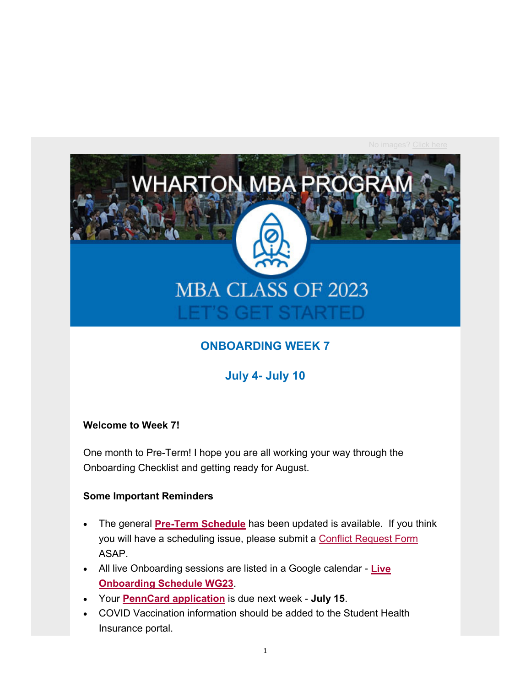

### **ONBOARDING WEEK 7**

**July 4- July 10**

### **Welcome to Week 7!**

One month to Pre-Term! I hope you are all working your way through the Onboarding Checklist and getting ready for August.

### **Some Important Reminders**

- The general **Pre-Term Schedule** has been updated is available. If you think you will have a scheduling issue, please submit a Conflict Request Form ASAP.
- All live Onboarding sessions are listed in a Google calendar **Live Onboarding Schedule WG23**.
- Your **PennCard application** is due next week **July 15**.
- COVID Vaccination information should be added to the Student Health Insurance portal.